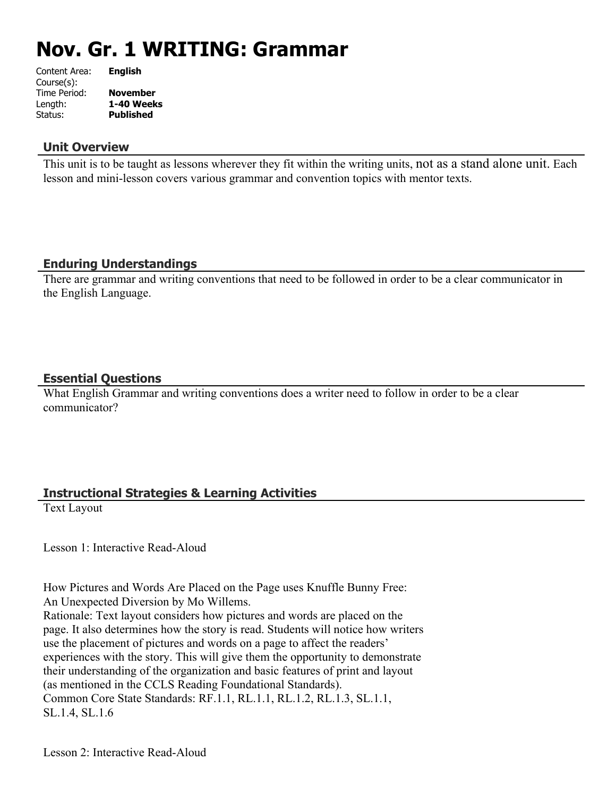# **Nov. Gr. 1 WRITING: Grammar**

| Content Area: | <b>English</b>   |
|---------------|------------------|
| Course(s):    |                  |
| Time Period:  | <b>November</b>  |
| Length:       | 1-40 Weeks       |
| Status:       | <b>Published</b> |
|               |                  |

## **Unit Overview**

This unit is to be taught as lessons wherever they fit within the writing units, not as a stand alone unit. Each lesson and mini-lesson covers various grammar and convention topics with mentor texts.

## **Enduring Understandings**

There are grammar and writing conventions that need to be followed in order to be a clear communicator in the English Language.

## **Essential Questions**

What English Grammar and writing conventions does a writer need to follow in order to be a clear communicator?

## **Instructional Strategies & Learning Activities**

Text Layout

Lesson 1: Interactive Read-Aloud

How Pictures and Words Are Placed on the Page uses Knuffle Bunny Free: An Unexpected Diversion by Mo Willems. Rationale: Text layout considers how pictures and words are placed on the page. It also determines how the story is read. Students will notice how writers use the placement of pictures and words on a page to affect the readers' experiences with the story. This will give them the opportunity to demonstrate their understanding of the organization and basic features of print and layout (as mentioned in the CCLS Reading Foundational Standards). Common Core State Standards: RF.1.1, RL.1.1, RL.1.2, RL.1.3, SL.1.1, SL.1.4, SL.1.6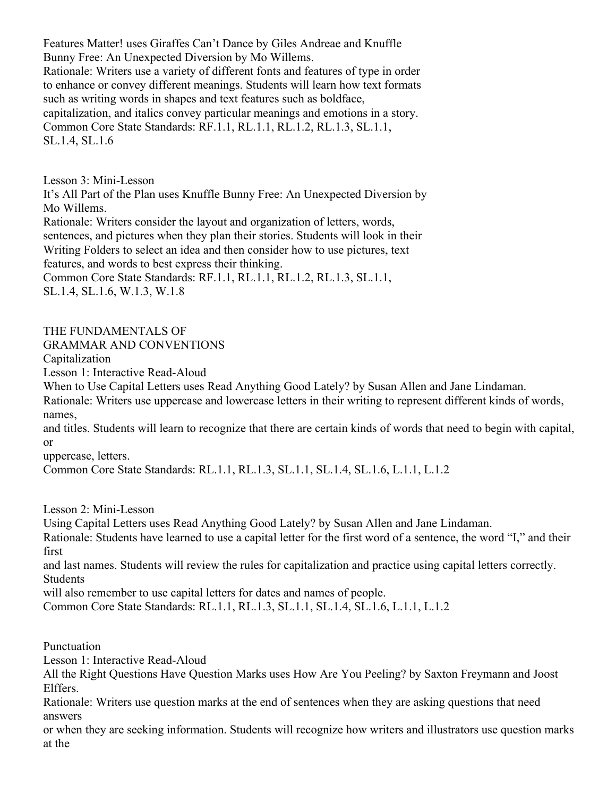Features Matter! uses Giraffes Can't Dance by Giles Andreae and Knuffle Bunny Free: An Unexpected Diversion by Mo Willems. Rationale: Writers use a variety of different fonts and features of type in order to enhance or convey different meanings. Students will learn how text formats such as writing words in shapes and text features such as boldface, capitalization, and italics convey particular meanings and emotions in a story. Common Core State Standards: RF.1.1, RL.1.1, RL.1.2, RL.1.3, SL.1.1, SL.1.4, SL.1.6

Lesson 3: Mini-Lesson

It's All Part of the Plan uses Knuffle Bunny Free: An Unexpected Diversion by Mo Willems.

Rationale: Writers consider the layout and organization of letters, words, sentences, and pictures when they plan their stories. Students will look in their Writing Folders to select an idea and then consider how to use pictures, text features, and words to best express their thinking.

Common Core State Standards: RF.1.1, RL.1.1, RL.1.2, RL.1.3, SL.1.1, SL.1.4, SL.1.6, W.1.3, W.1.8

# THE FUNDAMENTALS OF

GRAMMAR AND CONVENTIONS

Capitalization

Lesson 1: Interactive Read-Aloud

When to Use Capital Letters uses Read Anything Good Lately? by Susan Allen and Jane Lindaman.

Rationale: Writers use uppercase and lowercase letters in their writing to represent different kinds of words, names,

and titles. Students will learn to recognize that there are certain kinds of words that need to begin with capital, or

uppercase, letters.

Common Core State Standards: RL.1.1, RL.1.3, SL.1.1, SL.1.4, SL.1.6, L.1.1, L.1.2

Lesson 2: Mini-Lesson

Using Capital Letters uses Read Anything Good Lately? by Susan Allen and Jane Lindaman.

Rationale: Students have learned to use a capital letter for the first word of a sentence, the word "I," and their first

and last names. Students will review the rules for capitalization and practice using capital letters correctly. **Students** 

will also remember to use capital letters for dates and names of people.

Common Core State Standards: RL.1.1, RL.1.3, SL.1.1, SL.1.4, SL.1.6, L.1.1, L.1.2

Punctuation

Lesson 1: Interactive Read-Aloud

All the Right Questions Have Question Marks uses How Are You Peeling? by Saxton Freymann and Joost Elffers.

Rationale: Writers use question marks at the end of sentences when they are asking questions that need answers

or when they are seeking information. Students will recognize how writers and illustrators use question marks at the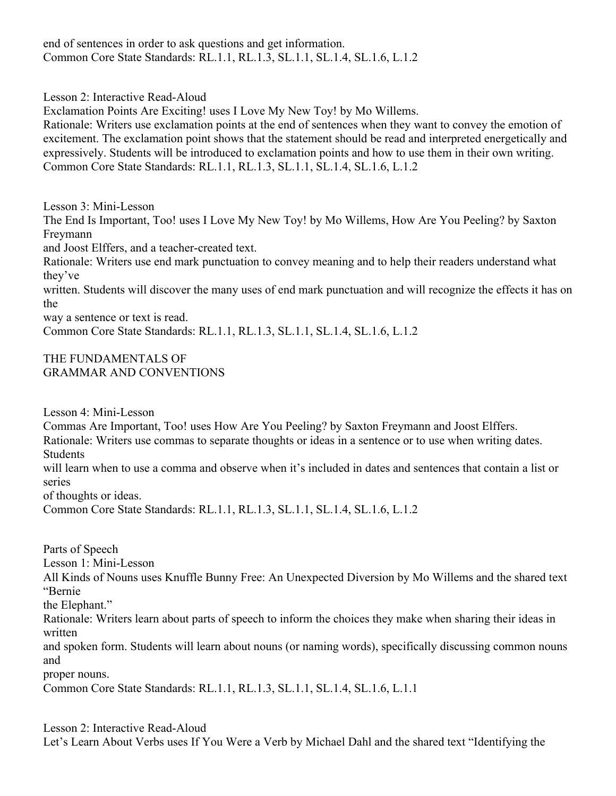end of sentences in order to ask questions and get information. Common Core State Standards: RL.1.1, RL.1.3, SL.1.1, SL.1.4, SL.1.6, L.1.2

Lesson 2: Interactive Read-Aloud

Exclamation Points Are Exciting! uses I Love My New Toy! by Mo Willems.

Rationale: Writers use exclamation points at the end of sentences when they want to convey the emotion of excitement. The exclamation point shows that the statement should be read and interpreted energetically and expressively. Students will be introduced to exclamation points and how to use them in their own writing. Common Core State Standards: RL.1.1, RL.1.3, SL.1.1, SL.1.4, SL.1.6, L.1.2

Lesson 3: Mini-Lesson

The End Is Important, Too! uses I Love My New Toy! by Mo Willems, How Are You Peeling? by Saxton Freymann

and Joost Elffers, and a teacher-created text.

Rationale: Writers use end mark punctuation to convey meaning and to help their readers understand what they've

written. Students will discover the many uses of end mark punctuation and will recognize the effects it has on the

way a sentence or text is read.

Common Core State Standards: RL.1.1, RL.1.3, SL.1.1, SL.1.4, SL.1.6, L.1.2

#### THE FUNDAMENTALS OF GRAMMAR AND CONVENTIONS

Lesson 4: Mini-Lesson

Commas Are Important, Too! uses How Are You Peeling? by Saxton Freymann and Joost Elffers.

Rationale: Writers use commas to separate thoughts or ideas in a sentence or to use when writing dates. Students

will learn when to use a comma and observe when it's included in dates and sentences that contain a list or series

of thoughts or ideas.

Common Core State Standards: RL.1.1, RL.1.3, SL.1.1, SL.1.4, SL.1.6, L.1.2

Parts of Speech Lesson 1: Mini-Lesson All Kinds of Nouns uses Knuffle Bunny Free: An Unexpected Diversion by Mo Willems and the shared text "Bernie the Elephant." Rationale: Writers learn about parts of speech to inform the choices they make when sharing their ideas in written and spoken form. Students will learn about nouns (or naming words), specifically discussing common nouns and proper nouns.

Common Core State Standards: RL.1.1, RL.1.3, SL.1.1, SL.1.4, SL.1.6, L.1.1

Lesson 2: Interactive Read-Aloud

Let's Learn About Verbs uses If You Were a Verb by Michael Dahl and the shared text "Identifying the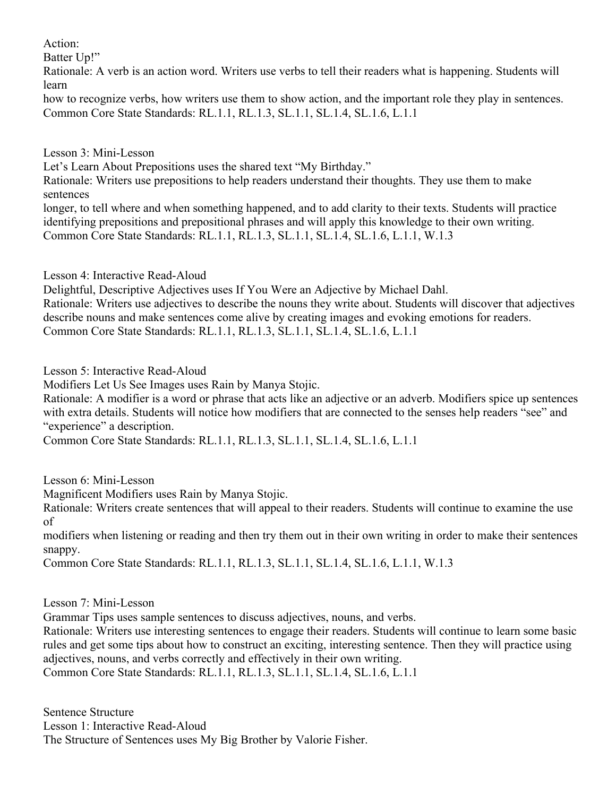Action:

Batter Un!"

Rationale: A verb is an action word. Writers use verbs to tell their readers what is happening. Students will learn

how to recognize verbs, how writers use them to show action, and the important role they play in sentences. Common Core State Standards: RL.1.1, RL.1.3, SL.1.1, SL.1.4, SL.1.6, L.1.1

Lesson 3: Mini-Lesson

Let's Learn About Prepositions uses the shared text "My Birthday."

Rationale: Writers use prepositions to help readers understand their thoughts. They use them to make sentences

longer, to tell where and when something happened, and to add clarity to their texts. Students will practice identifying prepositions and prepositional phrases and will apply this knowledge to their own writing. Common Core State Standards: RL.1.1, RL.1.3, SL.1.1, SL.1.4, SL.1.6, L.1.1, W.1.3

Lesson 4: Interactive Read-Aloud

Delightful, Descriptive Adjectives uses If You Were an Adjective by Michael Dahl.

Rationale: Writers use adjectives to describe the nouns they write about. Students will discover that adjectives describe nouns and make sentences come alive by creating images and evoking emotions for readers. Common Core State Standards: RL.1.1, RL.1.3, SL.1.1, SL.1.4, SL.1.6, L.1.1

Lesson 5: Interactive Read-Aloud

Modifiers Let Us See Images uses Rain by Manya Stojic.

Rationale: A modifier is a word or phrase that acts like an adjective or an adverb. Modifiers spice up sentences with extra details. Students will notice how modifiers that are connected to the senses help readers "see" and "experience" a description.

Common Core State Standards: RL.1.1, RL.1.3, SL.1.1, SL.1.4, SL.1.6, L.1.1

Lesson 6: Mini-Lesson

Magnificent Modifiers uses Rain by Manya Stojic.

Rationale: Writers create sentences that will appeal to their readers. Students will continue to examine the use of

modifiers when listening or reading and then try them out in their own writing in order to make their sentences snappy.

Common Core State Standards: RL.1.1, RL.1.3, SL.1.1, SL.1.4, SL.1.6, L.1.1, W.1.3

Lesson 7: Mini-Lesson

Grammar Tips uses sample sentences to discuss adjectives, nouns, and verbs.

Rationale: Writers use interesting sentences to engage their readers. Students will continue to learn some basic rules and get some tips about how to construct an exciting, interesting sentence. Then they will practice using adjectives, nouns, and verbs correctly and effectively in their own writing. Common Core State Standards: RL.1.1, RL.1.3, SL.1.1, SL.1.4, SL.1.6, L.1.1

Sentence Structure Lesson 1: Interactive Read-Aloud The Structure of Sentences uses My Big Brother by Valorie Fisher.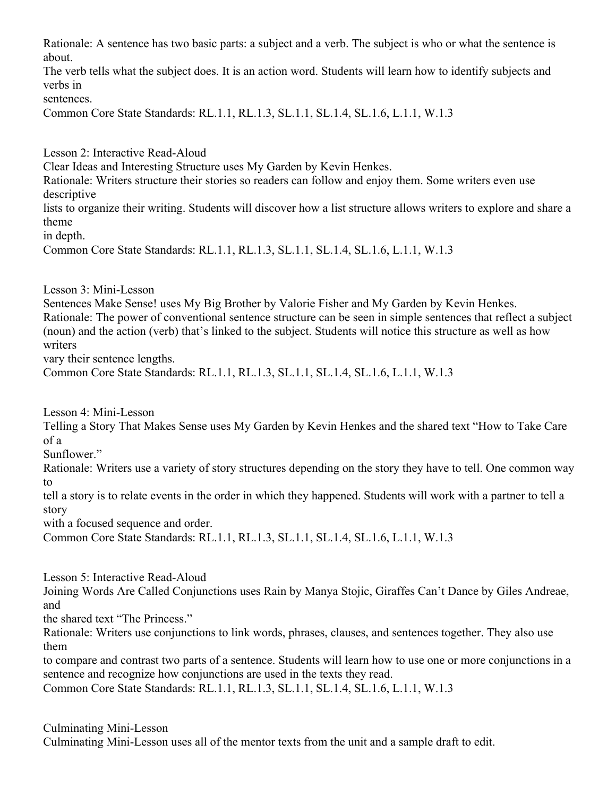Rationale: A sentence has two basic parts: a subject and a verb. The subject is who or what the sentence is about.

The verb tells what the subject does. It is an action word. Students will learn how to identify subjects and verbs in

sentences.

Common Core State Standards: RL.1.1, RL.1.3, SL.1.1, SL.1.4, SL.1.6, L.1.1, W.1.3

Lesson 2: Interactive Read-Aloud

Clear Ideas and Interesting Structure uses My Garden by Kevin Henkes.

Rationale: Writers structure their stories so readers can follow and enjoy them. Some writers even use descriptive

lists to organize their writing. Students will discover how a list structure allows writers to explore and share a theme

in depth.

Common Core State Standards: RL.1.1, RL.1.3, SL.1.1, SL.1.4, SL.1.6, L.1.1, W.1.3

Lesson 3: Mini-Lesson

Sentences Make Sense! uses My Big Brother by Valorie Fisher and My Garden by Kevin Henkes. Rationale: The power of conventional sentence structure can be seen in simple sentences that reflect a subject (noun) and the action (verb) that's linked to the subject. Students will notice this structure as well as how writers

vary their sentence lengths.

Common Core State Standards: RL.1.1, RL.1.3, SL.1.1, SL.1.4, SL.1.6, L.1.1, W.1.3

Lesson 4: Mini-Lesson

Telling a Story That Makes Sense uses My Garden by Kevin Henkes and the shared text "How to Take Care of a

Sunflower."

Rationale: Writers use a variety of story structures depending on the story they have to tell. One common way to

tell a story is to relate events in the order in which they happened. Students will work with a partner to tell a story

with a focused sequence and order.

Common Core State Standards: RL.1.1, RL.1.3, SL.1.1, SL.1.4, SL.1.6, L.1.1, W.1.3

Lesson 5: Interactive Read-Aloud

Joining Words Are Called Conjunctions uses Rain by Manya Stojic, Giraffes Can't Dance by Giles Andreae, and

the shared text "The Princess."

Rationale: Writers use conjunctions to link words, phrases, clauses, and sentences together. They also use them

to compare and contrast two parts of a sentence. Students will learn how to use one or more conjunctions in a sentence and recognize how conjunctions are used in the texts they read.

Common Core State Standards: RL.1.1, RL.1.3, SL.1.1, SL.1.4, SL.1.6, L.1.1, W.1.3

Culminating Mini-Lesson Culminating Mini-Lesson uses all of the mentor texts from the unit and a sample draft to edit.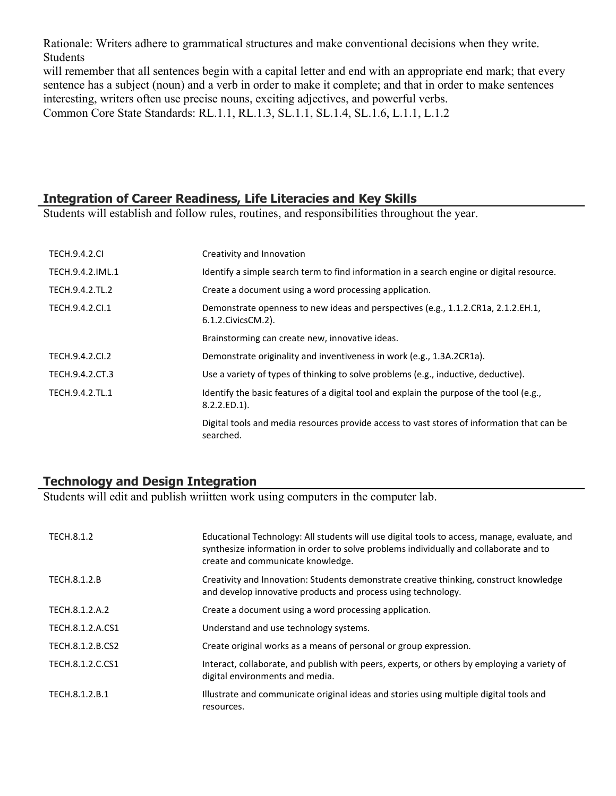Rationale: Writers adhere to grammatical structures and make conventional decisions when they write. Students

will remember that all sentences begin with a capital letter and end with an appropriate end mark; that every sentence has a subject (noun) and a verb in order to make it complete; and that in order to make sentences interesting, writers often use precise nouns, exciting adjectives, and powerful verbs. Common Core State Standards: RL.1.1, RL.1.3, SL.1.1, SL.1.4, SL.1.6, L.1.1, L.1.2

## **Integration of Career Readiness, Life Literacies and Key Skills**

Students will establish and follow rules, routines, and responsibilities throughout the year.

| <b>TECH.9.4.2.CI</b> | Creativity and Innovation                                                                                   |
|----------------------|-------------------------------------------------------------------------------------------------------------|
| TECH.9.4.2.IML.1     | Identify a simple search term to find information in a search engine or digital resource.                   |
| TECH.9.4.2.TL.2      | Create a document using a word processing application.                                                      |
| TECH.9.4.2.Cl.1      | Demonstrate openness to new ideas and perspectives (e.g., 1.1.2.CR1a, 2.1.2.EH.1,<br>6.1.2. Civics CM. 2).  |
|                      | Brainstorming can create new, innovative ideas.                                                             |
| TECH.9.4.2.CI.2      | Demonstrate originality and inventiveness in work (e.g., 1.3A.2CR1a).                                       |
| TECH.9.4.2.CT.3      | Use a variety of types of thinking to solve problems (e.g., inductive, deductive).                          |
| TECH.9.4.2.TL.1      | Identify the basic features of a digital tool and explain the purpose of the tool (e.g.,<br>$8.2.2.ED.1$ ). |
|                      | Digital tools and media resources provide access to vast stores of information that can be<br>searched.     |

## **Technology and Design Integration**

Students will edit and publish wriitten work using computers in the computer lab.

| TECH.8.1.2       | Educational Technology: All students will use digital tools to access, manage, evaluate, and<br>synthesize information in order to solve problems individually and collaborate and to<br>create and communicate knowledge. |
|------------------|----------------------------------------------------------------------------------------------------------------------------------------------------------------------------------------------------------------------------|
| TECH.8.1.2.B     | Creativity and Innovation: Students demonstrate creative thinking, construct knowledge<br>and develop innovative products and process using technology.                                                                    |
| TECH.8.1.2.A.2   | Create a document using a word processing application.                                                                                                                                                                     |
| TECH.8.1.2.A.CS1 | Understand and use technology systems.                                                                                                                                                                                     |
| TECH.8.1.2.B.CS2 | Create original works as a means of personal or group expression.                                                                                                                                                          |
| TECH.8.1.2.C.CS1 | Interact, collaborate, and publish with peers, experts, or others by employing a variety of<br>digital environments and media.                                                                                             |
| TECH.8.1.2.B.1   | Illustrate and communicate original ideas and stories using multiple digital tools and<br>resources.                                                                                                                       |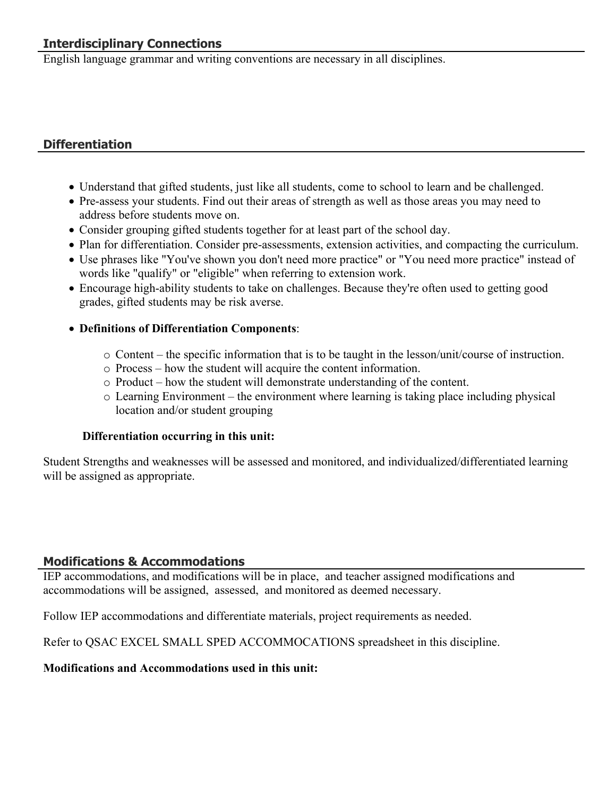# **Interdisciplinary Connections**

English language grammar and writing conventions are necessary in all disciplines.

## **Differentiation**

- Understand that gifted students, just like all students, come to school to learn and be challenged.
- Pre-assess your students. Find out their areas of strength as well as those areas you may need to address before students move on.
- Consider grouping gifted students together for at least part of the school day.
- Plan for differentiation. Consider pre-assessments, extension activities, and compacting the curriculum.
- Use phrases like "You've shown you don't need more practice" or "You need more practice" instead of words like "qualify" or "eligible" when referring to extension work.
- Encourage high-ability students to take on challenges. Because they're often used to getting good grades, gifted students may be risk averse.
- **Definitions of Differentiation Components**:
	- $\circ$  Content the specific information that is to be taught in the lesson/unit/course of instruction.
	- o Process how the student will acquire the content information.
	- o Product how the student will demonstrate understanding of the content.
	- o Learning Environment the environment where learning is taking place including physical location and/or student grouping

#### **Differentiation occurring in this unit:**

Student Strengths and weaknesses will be assessed and monitored, and individualized/differentiated learning will be assigned as appropriate.

#### **Modifications & Accommodations**

IEP accommodations, and modifications will be in place, and teacher assigned modifications and accommodations will be assigned, assessed, and monitored as deemed necessary.

Follow IEP accommodations and differentiate materials, project requirements as needed.

Refer to QSAC EXCEL SMALL SPED ACCOMMOCATIONS spreadsheet in this discipline.

#### **Modifications and Accommodations used in this unit:**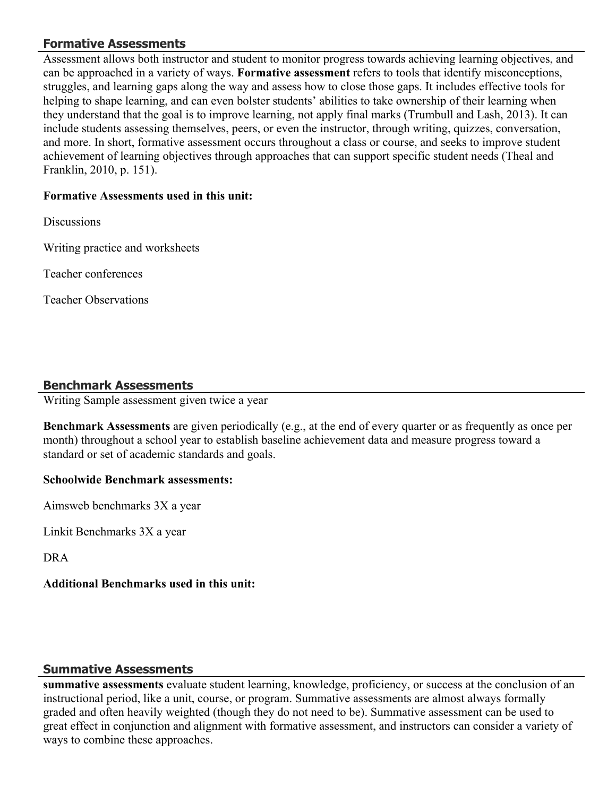## **Formative Assessments**

Assessment allows both instructor and student to monitor progress towards achieving learning objectives, and can be approached in a variety of ways. **Formative assessment** refers to tools that identify misconceptions, struggles, and learning gaps along the way and assess how to close those gaps. It includes effective tools for helping to shape learning, and can even bolster students' abilities to take ownership of their learning when they understand that the goal is to improve learning, not apply final marks (Trumbull and Lash, 2013). It can include students assessing themselves, peers, or even the instructor, through writing, quizzes, conversation, and more. In short, formative assessment occurs throughout a class or course, and seeks to improve student achievement of learning objectives through approaches that can support specific student needs (Theal and Franklin, 2010, p. 151).

## **Formative Assessments used in this unit:**

**Discussions** 

Writing practice and worksheets

Teacher conferences

Teacher Observations

## **Benchmark Assessments**

Writing Sample assessment given twice a year

**Benchmark Assessments** are given periodically (e.g., at the end of every quarter or as frequently as once per month) throughout a school year to establish baseline achievement data and measure progress toward a standard or set of academic standards and goals.

#### **Schoolwide Benchmark assessments:**

Aimsweb benchmarks 3X a year

Linkit Benchmarks 3X a year

DRA

## **Additional Benchmarks used in this unit:**

## **Summative Assessments**

**summative assessments** evaluate student learning, knowledge, proficiency, or success at the conclusion of an instructional period, like a unit, course, or program. Summative assessments are almost always formally graded and often heavily weighted (though they do not need to be). Summative assessment can be used to great effect in conjunction and alignment with formative assessment, and instructors can consider a variety of ways to combine these approaches.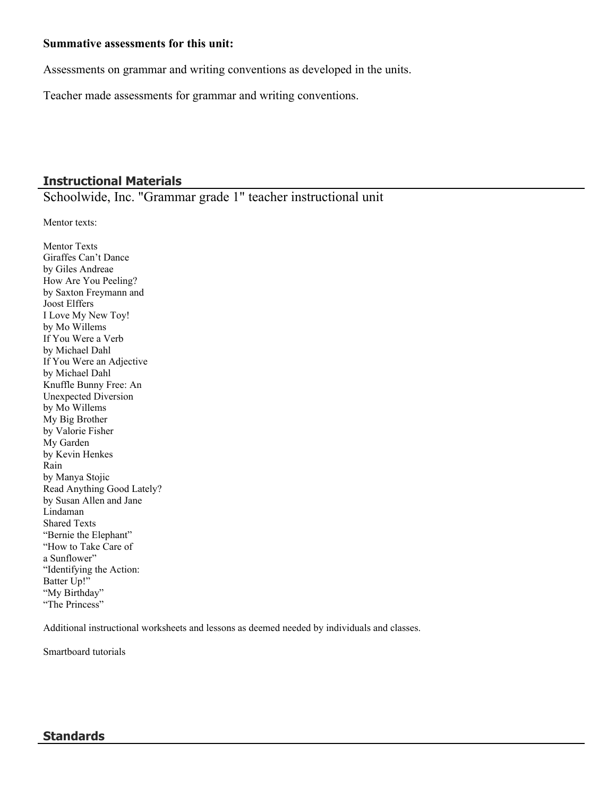#### **Summative assessments for this unit:**

Assessments on grammar and writing conventions as developed in the units.

Teacher made assessments for grammar and writing conventions.

## **Instructional Materials**

Schoolwide, Inc. "Grammar grade 1" teacher instructional unit

Mentor texts:

Mentor Texts Giraffes Can't Dance by Giles Andreae How Are You Peeling? by Saxton Freymann and Joost Elffers I Love My New Toy! by Mo Willems If You Were a Verb by Michael Dahl If You Were an Adjective by Michael Dahl Knuffle Bunny Free: An Unexpected Diversion by Mo Willems My Big Brother by Valorie Fisher My Garden by Kevin Henkes Rain by Manya Stojic Read Anything Good Lately? by Susan Allen and Jane Lindaman Shared Texts "Bernie the Elephant" "How to Take Care of a Sunflower" "Identifying the Action: Batter Up!" "My Birthday" "The Princess"

Additional instructional worksheets and lessons as deemed needed by individuals and classes.

Smartboard tutorials

#### **Standards**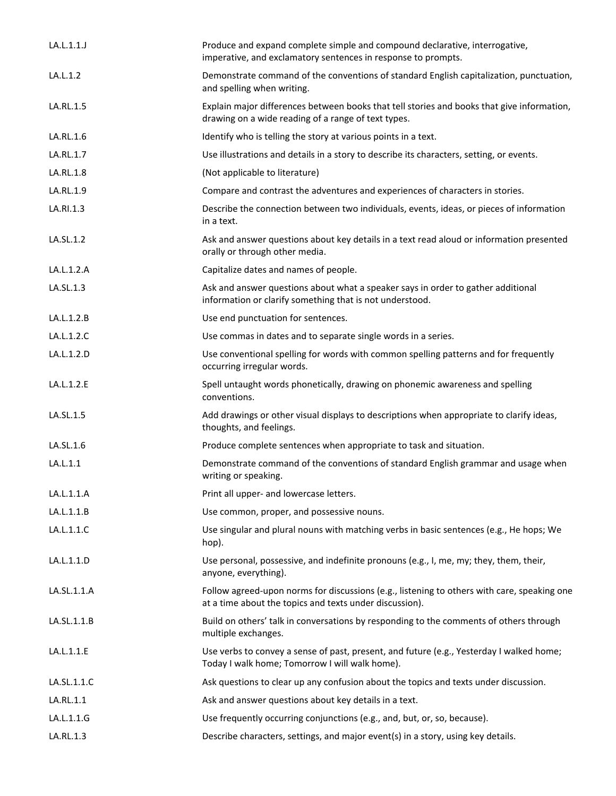| LA.L.1.1.   | Produce and expand complete simple and compound declarative, interrogative,<br>imperative, and exclamatory sentences in response to prompts.           |
|-------------|--------------------------------------------------------------------------------------------------------------------------------------------------------|
| LA.L.1.2    | Demonstrate command of the conventions of standard English capitalization, punctuation,<br>and spelling when writing.                                  |
| LA.RL.1.5   | Explain major differences between books that tell stories and books that give information,<br>drawing on a wide reading of a range of text types.      |
| LA.RL.1.6   | Identify who is telling the story at various points in a text.                                                                                         |
| LA.RL.1.7   | Use illustrations and details in a story to describe its characters, setting, or events.                                                               |
| LA.RL.1.8   | (Not applicable to literature)                                                                                                                         |
| LA.RL.1.9   | Compare and contrast the adventures and experiences of characters in stories.                                                                          |
| LA.RI.1.3   | Describe the connection between two individuals, events, ideas, or pieces of information<br>in a text.                                                 |
| LA.SL.1.2   | Ask and answer questions about key details in a text read aloud or information presented<br>orally or through other media.                             |
| LA.L.1.2.A  | Capitalize dates and names of people.                                                                                                                  |
| LA.SL.1.3   | Ask and answer questions about what a speaker says in order to gather additional<br>information or clarify something that is not understood.           |
| LA.L.1.2.B  | Use end punctuation for sentences.                                                                                                                     |
| LA.L.1.2.C  | Use commas in dates and to separate single words in a series.                                                                                          |
| LA.L.1.2.D  | Use conventional spelling for words with common spelling patterns and for frequently<br>occurring irregular words.                                     |
| LA.L.1.2.E  | Spell untaught words phonetically, drawing on phonemic awareness and spelling<br>conventions.                                                          |
| LA.SL.1.5   | Add drawings or other visual displays to descriptions when appropriate to clarify ideas,<br>thoughts, and feelings.                                    |
| LA.SL.1.6   | Produce complete sentences when appropriate to task and situation.                                                                                     |
| LA.L.1.1    | Demonstrate command of the conventions of standard English grammar and usage when<br>writing or speaking.                                              |
| LA.L.1.1.A  | Print all upper- and lowercase letters.                                                                                                                |
| LA.L.1.1.B  | Use common, proper, and possessive nouns.                                                                                                              |
| LA.L.1.1.C  | Use singular and plural nouns with matching verbs in basic sentences (e.g., He hops; We<br>hop).                                                       |
| LA.L.1.1.D  | Use personal, possessive, and indefinite pronouns (e.g., I, me, my; they, them, their,<br>anyone, everything).                                         |
| LA.SL.1.1.A | Follow agreed-upon norms for discussions (e.g., listening to others with care, speaking one<br>at a time about the topics and texts under discussion). |
| LA.SL.1.1.B | Build on others' talk in conversations by responding to the comments of others through<br>multiple exchanges.                                          |
| LA.L.1.1.E  | Use verbs to convey a sense of past, present, and future (e.g., Yesterday I walked home;<br>Today I walk home; Tomorrow I will walk home).             |
| LA.SL.1.1.C | Ask questions to clear up any confusion about the topics and texts under discussion.                                                                   |
| LA.RL.1.1   | Ask and answer questions about key details in a text.                                                                                                  |
| LA.L.1.1.G  | Use frequently occurring conjunctions (e.g., and, but, or, so, because).                                                                               |
| LA.RL.1.3   | Describe characters, settings, and major event(s) in a story, using key details.                                                                       |